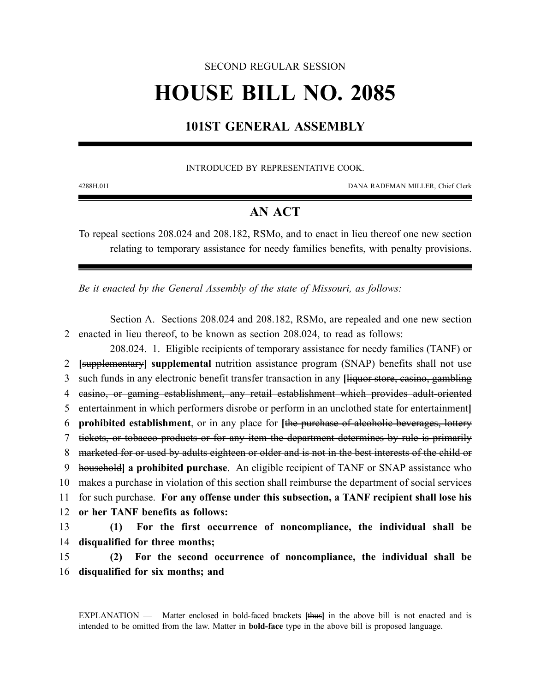## SECOND REGULAR SESSION

# **HOUSE BILL NO. 2085**

## **101ST GENERAL ASSEMBLY**

## INTRODUCED BY REPRESENTATIVE COOK.

4288H.01I DANA RADEMAN MILLER, Chief Clerk

## **AN ACT**

To repeal sections 208.024 and 208.182, RSMo, and to enact in lieu thereof one new section relating to temporary assistance for needy families benefits, with penalty provisions.

*Be it enacted by the General Assembly of the state of Missouri, as follows:*

Section A. Sections 208.024 and 208.182, RSMo, are repealed and one new section 2 enacted in lieu thereof, to be known as section 208.024, to read as follows:

208.024. 1. Eligible recipients of temporary assistance for needy families (TANF) or **[**supplementary**] supplemental** nutrition assistance program (SNAP) benefits shall not use such funds in any electronic benefit transfer transaction in any **[**liquor store, casino, gambling casino, or gaming establishment, any retail establishment which provides adult-oriented entertainment in which performers disrobe or perform in an unclothed state for entertainment**] prohibited establishment**, or in any place for **[**the purchase of alcoholic beverages, lottery tickets, or tobacco products or for any item the department determines by rule is primarily 8 marketed for or used by adults eighteen or older and is not in the best interests of the child or household**] a prohibited purchase**. An eligible recipient of TANF or SNAP assistance who makes a purchase in violation of this section shall reimburse the department of social services for such purchase. **For any offense under this subsection, a TANF recipient shall lose his or her TANF benefits as follows: (1) For the first occurrence of noncompliance, the individual shall be disqualified for three months;**

15 **(2) For the second occurrence of noncompliance, the individual shall be** 16 **disqualified for six months; and**

EXPLANATION — Matter enclosed in bold-faced brackets **[**thus**]** in the above bill is not enacted and is intended to be omitted from the law. Matter in **bold-face** type in the above bill is proposed language.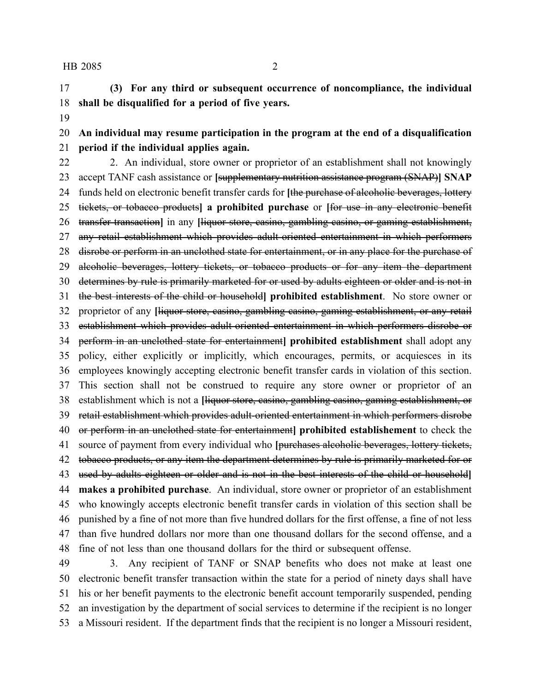## HB 2085 2

 **(3) For any third or subsequent occurrence of noncompliance, the individual shall be disqualified for a period of five years.**

 **An individual may resume participation in the program at the end of a disqualification period if the individual applies again.**

22 2. An individual, store owner or proprietor of an establishment shall not knowingly accept TANF cash assistance or **[**supplementary nutrition assistance program (SNAP)**] SNAP** funds held on electronic benefit transfer cards for **[**the purchase of alcoholic beverages, lottery tickets, or tobacco products**] a prohibited purchase** or **[**for use in any electronic benefit transfer transaction**]** in any **[**liquor store, casino, gambling casino, or gaming establishment, any retail establishment which provides adult-oriented entertainment in which performers 28 disrobe or perform in an unclothed state for entertainment, or in any place for the purchase of 29 aleoholic beverages, lottery tickets, or tobacco products or for any item the department determines by rule is primarily marketed for or used by adults eighteen or older and is not in the best interests of the child or household**] prohibited establishment**. No store owner or proprietor of any **[**liquor store, casino, gambling casino, gaming establishment, or any retail establishment which provides adult-oriented entertainment in which performers disrobe or perform in an unclothed state for entertainment**] prohibited establishment** shall adopt any policy, either explicitly or implicitly, which encourages, permits, or acquiesces in its employees knowingly accepting electronic benefit transfer cards in violation of this section. This section shall not be construed to require any store owner or proprietor of an establishment which is not a **[**liquor store, casino, gambling casino, gaming establishment, or retail establishment which provides adult-oriented entertainment in which performers disrobe or perform in an unclothed state for entertainment**] prohibited establishement** to check the source of payment from every individual who **[**purchases alcoholic beverages, lottery tickets, 42 tobacco products, or any item the department determines by rule is primarily marketed for or used by adults eighteen or older and is not in the best interests of the child or household**] makes a prohibited purchase**. An individual, store owner or proprietor of an establishment who knowingly accepts electronic benefit transfer cards in violation of this section shall be punished by a fine of not more than five hundred dollars for the first offense, a fine of not less than five hundred dollars nor more than one thousand dollars for the second offense, and a fine of not less than one thousand dollars for the third or subsequent offense.

 3. Any recipient of TANF or SNAP benefits who does not make at least one electronic benefit transfer transaction within the state for a period of ninety days shall have his or her benefit payments to the electronic benefit account temporarily suspended, pending an investigation by the department of social services to determine if the recipient is no longer a Missouri resident. If the department finds that the recipient is no longer a Missouri resident,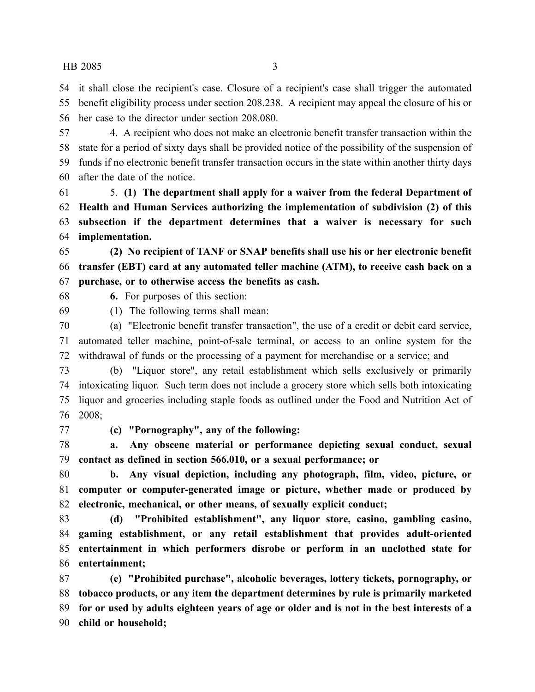## HB 2085 3

 it shall close the recipient's case. Closure of a recipient's case shall trigger the automated benefit eligibility process under section 208.238. A recipient may appeal the closure of his or her case to the director under section 208.080.

 4. A recipient who does not make an electronic benefit transfer transaction within the state for a period of sixty days shall be provided notice of the possibility of the suspension of funds if no electronic benefit transfer transaction occurs in the state within another thirty days after the date of the notice.

 5. **(1) The department shall apply for a waiver from the federal Department of Health and Human Services authorizing the implementation of subdivision (2) of this subsection if the department determines that a waiver is necessary for such implementation.**

 **(2) No recipient of TANF or SNAP benefits shall use his or her electronic benefit transfer (EBT) card at any automated teller machine (ATM), to receive cash back on a purchase, or to otherwise access the benefits as cash.**

**6.** For purposes of this section:

(1) The following terms shall mean:

 (a) "Electronic benefit transfer transaction", the use of a credit or debit card service, automated teller machine, point-of-sale terminal, or access to an online system for the withdrawal of funds or the processing of a payment for merchandise or a service; and

 (b) "Liquor store", any retail establishment which sells exclusively or primarily intoxicating liquor. Such term does not include a grocery store which sells both intoxicating liquor and groceries including staple foods as outlined under the Food and Nutrition Act of 2008;

**(c) "Pornography", any of the following:**

 **a. Any obscene material or performance depicting sexual conduct, sexual contact as defined in section 566.010, or a sexual performance; or**

 **b. Any visual depiction, including any photograph, film, video, picture, or computer or computer-generated image or picture, whether made or produced by electronic, mechanical, or other means, of sexually explicit conduct;**

 **(d) "Prohibited establishment", any liquor store, casino, gambling casino, gaming establishment, or any retail establishment that provides adult-oriented entertainment in which performers disrobe or perform in an unclothed state for entertainment;**

 **(e) "Prohibited purchase", alcoholic beverages, lottery tickets, pornography, or tobacco products, or any item the department determines by rule is primarily marketed** 89 for or used by adults eighteen years of age or older and is not in the best interests of a **child or household;**